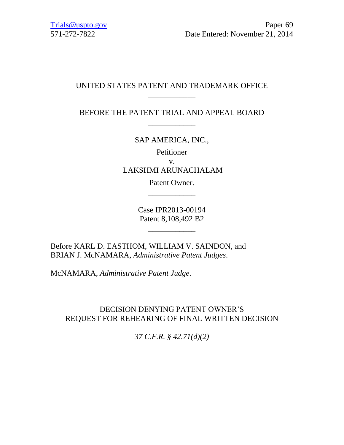# UNITED STATES PATENT AND TRADEMARK OFFICE \_\_\_\_\_\_\_\_\_\_\_\_

BEFORE THE PATENT TRIAL AND APPEAL BOARD \_\_\_\_\_\_\_\_\_\_\_\_

SAP AMERICA, INC.,

Petitioner v. LAKSHMI ARUNACHALAM

> Patent Owner. \_\_\_\_\_\_\_\_\_\_\_\_

Case IPR2013-00194 Patent 8,108,492 B2

\_\_\_\_\_\_\_\_\_\_\_\_

Before KARL D. EASTHOM, WILLIAM V. SAINDON, and BRIAN J. McNAMARA, *Administrative Patent Judges*.

McNAMARA, *Administrative Patent Judge*.

# DECISION DENYING PATENT OWNER'S REQUEST FOR REHEARING OF FINAL WRITTEN DECISION

*37 C.F.R. § 42.71(d)(2)*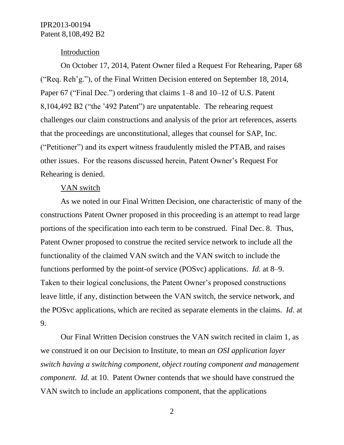#### **Introduction**

On October 17, 2014, Patent Owner filed a Request For Rehearing, Paper 68 ("Req. Reh'g."), of the Final Written Decision entered on September 18, 2014, Paper 67 ("Final Dec.") ordering that claims 1–8 and 10–12 of U.S. Patent 8,104,492 B2 ("the '492 Patent") are unpatentable. The rehearing request challenges our claim constructions and analysis of the prior art references, asserts that the proceedings are unconstitutional, alleges that counsel for SAP, Inc. ("Petitioner") and its expert witness fraudulently misled the PTAB, and raises other issues. For the reasons discussed herein, Patent Owner's Request For Rehearing is denied.

#### VAN switch

As we noted in our Final Written Decision, one characteristic of many of the constructions Patent Owner proposed in this proceeding is an attempt to read large portions of the specification into each term to be construed. Final Dec. 8. Thus, Patent Owner proposed to construe the recited service network to include all the functionality of the claimed VAN switch and the VAN switch to include the functions performed by the point-of service (POSvc) applications. *Id.* at 8–9. Taken to their logical conclusions, the Patent Owner's proposed constructions leave little, if any, distinction between the VAN switch, the service network, and the POSvc applications, which are recited as separate elements in the claims. *Id.* at 9.

Our Final Written Decision construes the VAN switch recited in claim 1, as we construed it on our Decision to Institute, to mean *an OSI application layer switch having a switching component, object routing component and management component. Id.* at 10. Patent Owner contends that we should have construed the VAN switch to include an applications component, that the applications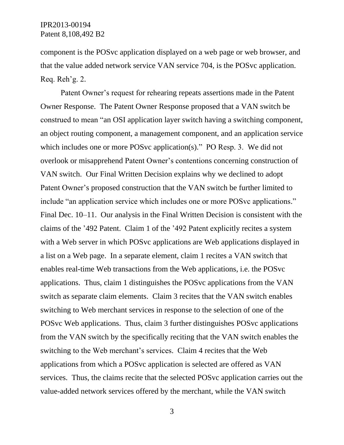component is the POSvc application displayed on a web page or web browser, and that the value added network service VAN service 704, is the POSvc application. Req. Reh'g. 2.

Patent Owner's request for rehearing repeats assertions made in the Patent Owner Response. The Patent Owner Response proposed that a VAN switch be construed to mean "an OSI application layer switch having a switching component, an object routing component, a management component, and an application service which includes one or more POS vc application(s)." PO Resp. 3. We did not overlook or misapprehend Patent Owner's contentions concerning construction of VAN switch. Our Final Written Decision explains why we declined to adopt Patent Owner's proposed construction that the VAN switch be further limited to include "an application service which includes one or more POSvc applications." Final Dec. 10–11. Our analysis in the Final Written Decision is consistent with the claims of the '492 Patent. Claim 1 of the '492 Patent explicitly recites a system with a Web server in which POS vc applications are Web applications displayed in a list on a Web page. In a separate element, claim 1 recites a VAN switch that enables real-time Web transactions from the Web applications, i.e. the POSvc applications. Thus, claim 1 distinguishes the POSvc applications from the VAN switch as separate claim elements. Claim 3 recites that the VAN switch enables switching to Web merchant services in response to the selection of one of the POSvc Web applications. Thus, claim 3 further distinguishes POSvc applications from the VAN switch by the specifically reciting that the VAN switch enables the switching to the Web merchant's services. Claim 4 recites that the Web applications from which a POSvc application is selected are offered as VAN services. Thus, the claims recite that the selected POSvc application carries out the value-added network services offered by the merchant, while the VAN switch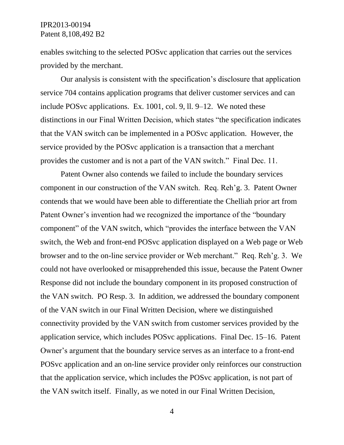enables switching to the selected POSvc application that carries out the services provided by the merchant.

Our analysis is consistent with the specification's disclosure that application service 704 contains application programs that deliver customer services and can include POSvc applications. Ex. 1001, col. 9, ll. 9–12. We noted these distinctions in our Final Written Decision, which states "the specification indicates that the VAN switch can be implemented in a POSvc application. However, the service provided by the POSvc application is a transaction that a merchant provides the customer and is not a part of the VAN switch." Final Dec. 11.

Patent Owner also contends we failed to include the boundary services component in our construction of the VAN switch. Req. Reh'g. 3. Patent Owner contends that we would have been able to differentiate the Chelliah prior art from Patent Owner's invention had we recognized the importance of the "boundary component" of the VAN switch, which "provides the interface between the VAN switch, the Web and front-end POSvc application displayed on a Web page or Web browser and to the on-line service provider or Web merchant." Req. Reh'g. 3. We could not have overlooked or misapprehended this issue, because the Patent Owner Response did not include the boundary component in its proposed construction of the VAN switch. PO Resp. 3. In addition, we addressed the boundary component of the VAN switch in our Final Written Decision, where we distinguished connectivity provided by the VAN switch from customer services provided by the application service, which includes POSvc applications. Final Dec. 15–16. Patent Owner's argument that the boundary service serves as an interface to a front-end POSvc application and an on-line service provider only reinforces our construction that the application service, which includes the POSvc application, is not part of the VAN switch itself. Finally, as we noted in our Final Written Decision,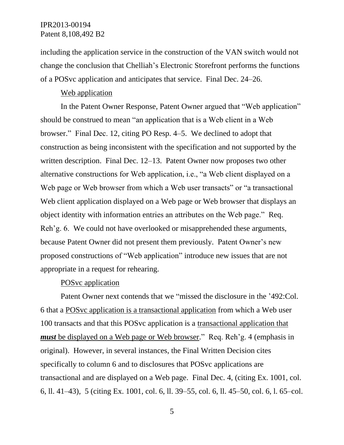including the application service in the construction of the VAN switch would not change the conclusion that Chelliah's Electronic Storefront performs the functions of a POSvc application and anticipates that service. Final Dec. 24–26.

### Web application

In the Patent Owner Response, Patent Owner argued that "Web application" should be construed to mean "an application that is a Web client in a Web browser." Final Dec. 12, citing PO Resp. 4–5. We declined to adopt that construction as being inconsistent with the specification and not supported by the written description. Final Dec. 12–13. Patent Owner now proposes two other alternative constructions for Web application, i.e., "a Web client displayed on a Web page or Web browser from which a Web user transacts" or "a transactional Web client application displayed on a Web page or Web browser that displays an object identity with information entries an attributes on the Web page." Req. Reh'g. 6. We could not have overlooked or misapprehended these arguments, because Patent Owner did not present them previously. Patent Owner's new proposed constructions of "Web application" introduce new issues that are not appropriate in a request for rehearing.

### POSvc application

Patent Owner next contends that we "missed the disclosure in the '492:Col. 6 that a POSvc application is a transactional application from which a Web user 100 transacts and that this POSvc application is a transactional application that *must* be displayed on a Web page or Web browser." Req. Reh'g. 4 (emphasis in original). However, in several instances, the Final Written Decision cites specifically to column 6 and to disclosures that POSvc applications are transactional and are displayed on a Web page. Final Dec. 4, (citing Ex. 1001, col. 6, ll. 41–43), 5 (citing Ex. 1001, col. 6, ll. 39–55, col. 6, ll. 45–50, col. 6, l. 65–col.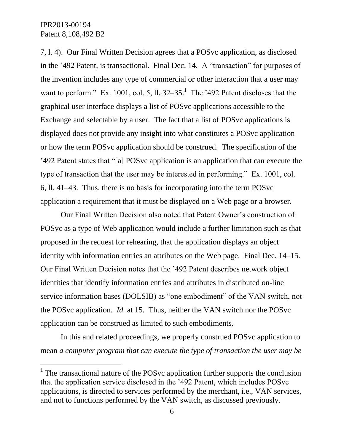l

7, l. 4). Our Final Written Decision agrees that a POSvc application, as disclosed in the '492 Patent, is transactional. Final Dec. 14. A "transaction" for purposes of the invention includes any type of commercial or other interaction that a user may want to perform." Ex. 1001, col. 5, ll.  $32-35$ .<sup>1</sup> The '492 Patent discloses that the graphical user interface displays a list of POSvc applications accessible to the Exchange and selectable by a user. The fact that a list of POSvc applications is displayed does not provide any insight into what constitutes a POSvc application or how the term POSvc application should be construed. The specification of the '492 Patent states that "[a] POSvc application is an application that can execute the type of transaction that the user may be interested in performing." Ex. 1001, col. 6, ll. 41–43. Thus, there is no basis for incorporating into the term POSvc application a requirement that it must be displayed on a Web page or a browser.

Our Final Written Decision also noted that Patent Owner's construction of POSvc as a type of Web application would include a further limitation such as that proposed in the request for rehearing, that the application displays an object identity with information entries an attributes on the Web page. Final Dec. 14–15. Our Final Written Decision notes that the '492 Patent describes network object identities that identify information entries and attributes in distributed on-line service information bases (DOLSIB) as "one embodiment" of the VAN switch, not the POSvc application. *Id.* at 15. Thus, neither the VAN switch nor the POSvc application can be construed as limited to such embodiments.

In this and related proceedings, we properly construed POSvc application to mean *a computer program that can execute the type of transaction the user may be* 

<sup>&</sup>lt;sup>1</sup> The transactional nature of the POS vc application further supports the conclusion that the application service disclosed in the '492 Patent, which includes POSvc applications, is directed to services performed by the merchant, i.e., VAN services, and not to functions performed by the VAN switch, as discussed previously.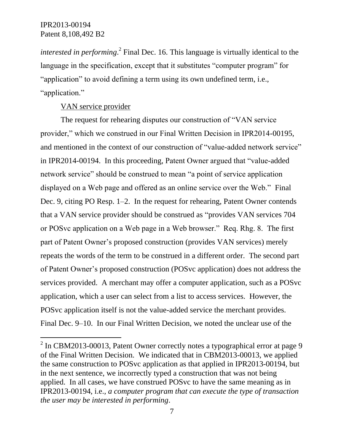$\overline{a}$ 

*interested in performing*.<sup>2</sup> Final Dec. 16. This language is virtually identical to the language in the specification, except that it substitutes "computer program" for "application" to avoid defining a term using its own undefined term, i.e., "application."

### VAN service provider

The request for rehearing disputes our construction of "VAN service provider," which we construed in our Final Written Decision in IPR2014-00195, and mentioned in the context of our construction of "value-added network service" in IPR2014-00194. In this proceeding, Patent Owner argued that "value-added network service" should be construed to mean "a point of service application displayed on a Web page and offered as an online service over the Web." Final Dec. 9, citing PO Resp. 1–2. In the request for rehearing, Patent Owner contends that a VAN service provider should be construed as "provides VAN services 704 or POSvc application on a Web page in a Web browser." Req. Rhg. 8. The first part of Patent Owner's proposed construction (provides VAN services) merely repeats the words of the term to be construed in a different order. The second part of Patent Owner's proposed construction (POSvc application) does not address the services provided. A merchant may offer a computer application, such as a POSvc application, which a user can select from a list to access services. However, the POSvc application itself is not the value-added service the merchant provides. Final Dec. 9–10. In our Final Written Decision, we noted the unclear use of the

 $2$  In CBM2013-00013, Patent Owner correctly notes a typographical error at page 9 of the Final Written Decision. We indicated that in CBM2013-00013, we applied the same construction to POSvc application as that applied in IPR2013-00194, but in the next sentence, we incorrectly typed a construction that was not being applied. In all cases, we have construed POSvc to have the same meaning as in IPR2013-00194, i.e., *a computer program that can execute the type of transaction the user may be interested in performing*.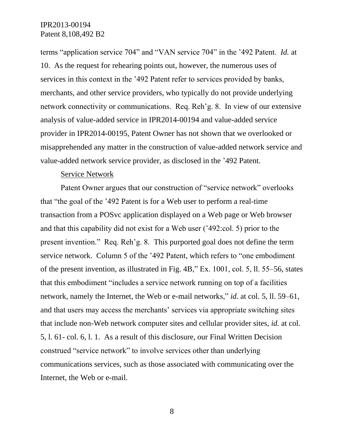terms "application service 704" and "VAN service 704" in the '492 Patent. *Id.* at 10. As the request for rehearing points out, however, the numerous uses of services in this context in the '492 Patent refer to services provided by banks, merchants, and other service providers, who typically do not provide underlying network connectivity or communications. Req. Reh'g. 8. In view of our extensive analysis of value-added service in IPR2014-00194 and value-added service provider in IPR2014-00195, Patent Owner has not shown that we overlooked or misapprehended any matter in the construction of value-added network service and value-added network service provider, as disclosed in the '492 Patent.

### Service Network

Patent Owner argues that our construction of "service network" overlooks that "the goal of the '492 Patent is for a Web user to perform a real-time transaction from a POSvc application displayed on a Web page or Web browser and that this capability did not exist for a Web user ('492:col. 5) prior to the present invention." Req. Reh'g. 8. This purported goal does not define the term service network. Column 5 of the '492 Patent, which refers to "one embodiment of the present invention, as illustrated in Fig. 4B," Ex. 1001, col. 5, ll. 55–56, states that this embodiment "includes a service network running on top of a facilities network, namely the Internet, the Web or e-mail networks," *id.* at col. 5, ll. 59–61, and that users may access the merchants' services via appropriate switching sites that include non-Web network computer sites and cellular provider sites, *id.* at col. 5, l. 61- col. 6, l. 1. As a result of this disclosure, our Final Written Decision construed "service network" to involve services other than underlying communications services, such as those associated with communicating over the Internet, the Web or e-mail.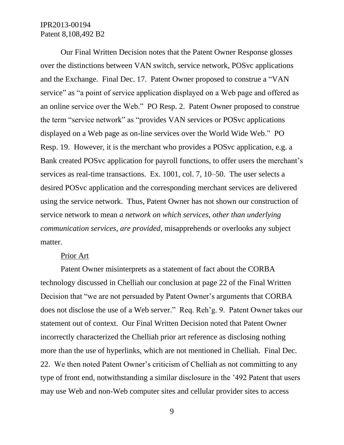Our Final Written Decision notes that the Patent Owner Response glosses over the distinctions between VAN switch, service network, POSvc applications and the Exchange. Final Dec. 17. Patent Owner proposed to construe a "VAN service" as "a point of service application displayed on a Web page and offered as an online service over the Web." PO Resp. 2. Patent Owner proposed to construe the term "service network" as "provides VAN services or POSvc applications displayed on a Web page as on-line services over the World Wide Web." PO Resp. 19. However, it is the merchant who provides a POSvc application, e.g. a Bank created POSvc application for payroll functions, to offer users the merchant's services as real-time transactions. Ex. 1001, col. 7, 10–50. The user selects a desired POSvc application and the corresponding merchant services are delivered using the service network. Thus, Patent Owner has not shown our construction of service network to mean *a network on which services, other than underlying communication services, are provided*, misapprehends or overlooks any subject matter.

#### Prior Art

Patent Owner misinterprets as a statement of fact about the CORBA technology discussed in Chelliah our conclusion at page 22 of the Final Written Decision that "we are not persuaded by Patent Owner's arguments that CORBA does not disclose the use of a Web server." Req. Reh'g. 9. Patent Owner takes our statement out of context. Our Final Written Decision noted that Patent Owner incorrectly characterized the Chelliah prior art reference as disclosing nothing more than the use of hyperlinks, which are not mentioned in Chelliah. Final Dec. 22. We then noted Patent Owner's criticism of Chelliah as not committing to any type of front end, notwithstanding a similar disclosure in the '492 Patent that users may use Web and non-Web computer sites and cellular provider sites to access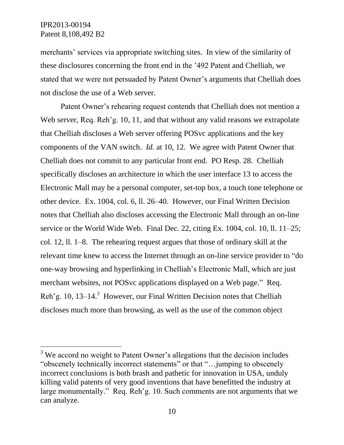$\overline{a}$ 

merchants' services via appropriate switching sites. In view of the similarity of these disclosures concerning the front end in the '492 Patent and Chelliah, we stated that we were not persuaded by Patent Owner's arguments that Chelliah does not disclose the use of a Web server.

Patent Owner's rehearing request contends that Chelliah does not mention a Web server, Req. Reh'g. 10, 11, and that without any valid reasons we extrapolate that Chelliah discloses a Web server offering POSvc applications and the key components of the VAN switch. *Id.* at 10, 12. We agree with Patent Owner that Chelliah does not commit to any particular front end. PO Resp. 28. Chelliah specifically discloses an architecture in which the user interface 13 to access the Electronic Mall may be a personal computer, set-top box, a touch tone telephone or other device. Ex. 1004, col. 6, ll. 26–40. However, our Final Written Decision notes that Chelliah also discloses accessing the Electronic Mall through an on-line service or the World Wide Web. Final Dec. 22, citing Ex. 1004, col. 10, ll. 11–25; col. 12, ll. 1–8. The rehearing request argues that those of ordinary skill at the relevant time knew to access the Internet through an on-line service provider to "do one-way browsing and hyperlinking in Chelliah's Electronic Mall, which are just merchant websites, not POSvc applications displayed on a Web page." Req. Reh'g. 10, 13–14.<sup>3</sup> However, our Final Written Decision notes that Chelliah discloses much more than browsing, as well as the use of the common object

<sup>&</sup>lt;sup>3</sup> We accord no weight to Patent Owner's allegations that the decision includes "obscenely technically incorrect statements" or that "…jumping to obscenely incorrect conclusions is both brash and pathetic for innovation in USA, unduly killing valid patents of very good inventions that have benefitted the industry at large monumentally." Req. Reh'g. 10. Such comments are not arguments that we can analyze.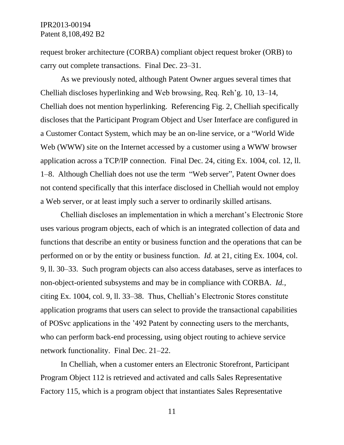request broker architecture (CORBA) compliant object request broker (ORB) to carry out complete transactions. Final Dec. 23–31.

As we previously noted, although Patent Owner argues several times that Chelliah discloses hyperlinking and Web browsing, Req. Reh'g. 10, 13–14, Chelliah does not mention hyperlinking. Referencing Fig. 2, Chelliah specifically discloses that the Participant Program Object and User Interface are configured in a Customer Contact System, which may be an on-line service, or a "World Wide Web (WWW) site on the Internet accessed by a customer using a WWW browser application across a TCP/IP connection. Final Dec. 24, citing Ex. 1004, col. 12, ll. 1–8. Although Chelliah does not use the term "Web server", Patent Owner does not contend specifically that this interface disclosed in Chelliah would not employ a Web server, or at least imply such a server to ordinarily skilled artisans.

Chelliah discloses an implementation in which a merchant's Electronic Store uses various program objects, each of which is an integrated collection of data and functions that describe an entity or business function and the operations that can be performed on or by the entity or business function. *Id.* at 21, citing Ex. 1004, col. 9, ll. 30–33. Such program objects can also access databases, serve as interfaces to non-object-oriented subsystems and may be in compliance with CORBA. *Id.,*  citing Ex. 1004, col. 9, ll. 33–38. Thus, Chelliah's Electronic Stores constitute application programs that users can select to provide the transactional capabilities of POSvc applications in the '492 Patent by connecting users to the merchants, who can perform back-end processing, using object routing to achieve service network functionality. Final Dec. 21–22.

In Chelliah, when a customer enters an Electronic Storefront, Participant Program Object 112 is retrieved and activated and calls Sales Representative Factory 115, which is a program object that instantiates Sales Representative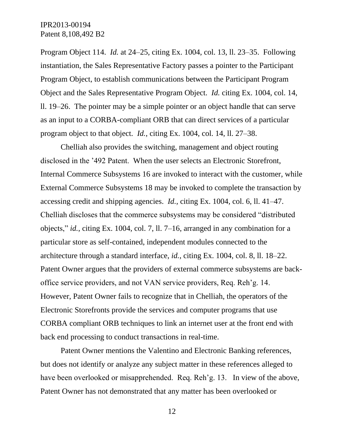Program Object 114. *Id.* at 24–25, citing Ex. 1004, col. 13, ll. 23–35. Following instantiation, the Sales Representative Factory passes a pointer to the Participant Program Object, to establish communications between the Participant Program Object and the Sales Representative Program Object. *Id.* citing Ex. 1004, col. 14, ll. 19–26. The pointer may be a simple pointer or an object handle that can serve as an input to a CORBA-compliant ORB that can direct services of a particular program object to that object. *Id.*, citing Ex. 1004, col. 14, ll. 27–38.

Chelliah also provides the switching, management and object routing disclosed in the '492 Patent. When the user selects an Electronic Storefront, Internal Commerce Subsystems 16 are invoked to interact with the customer, while External Commerce Subsystems 18 may be invoked to complete the transaction by accessing credit and shipping agencies. *Id.*, citing Ex. 1004, col. 6, ll. 41–47. Chelliah discloses that the commerce subsystems may be considered "distributed objects," *id.*, citing Ex. 1004, col. 7, ll. 7–16, arranged in any combination for a particular store as self-contained, independent modules connected to the architecture through a standard interface, *id.*, citing Ex. 1004, col. 8, ll. 18–22. Patent Owner argues that the providers of external commerce subsystems are backoffice service providers, and not VAN service providers, Req. Reh'g. 14. However, Patent Owner fails to recognize that in Chelliah, the operators of the Electronic Storefronts provide the services and computer programs that use CORBA compliant ORB techniques to link an internet user at the front end with back end processing to conduct transactions in real-time.

Patent Owner mentions the Valentino and Electronic Banking references, but does not identify or analyze any subject matter in these references alleged to have been overlooked or misapprehended. Req. Reh'g. 13. In view of the above, Patent Owner has not demonstrated that any matter has been overlooked or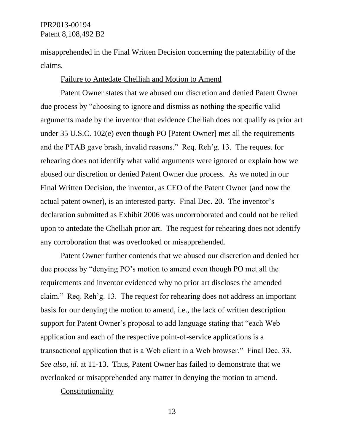misapprehended in the Final Written Decision concerning the patentability of the claims.

#### Failure to Antedate Chelliah and Motion to Amend

Patent Owner states that we abused our discretion and denied Patent Owner due process by "choosing to ignore and dismiss as nothing the specific valid arguments made by the inventor that evidence Chelliah does not qualify as prior art under 35 U.S.C. 102(e) even though PO [Patent Owner] met all the requirements and the PTAB gave brash, invalid reasons." Req. Reh'g. 13. The request for rehearing does not identify what valid arguments were ignored or explain how we abused our discretion or denied Patent Owner due process. As we noted in our Final Written Decision, the inventor, as CEO of the Patent Owner (and now the actual patent owner), is an interested party. Final Dec. 20. The inventor's declaration submitted as Exhibit 2006 was uncorroborated and could not be relied upon to antedate the Chelliah prior art. The request for rehearing does not identify any corroboration that was overlooked or misapprehended.

Patent Owner further contends that we abused our discretion and denied her due process by "denying PO's motion to amend even though PO met all the requirements and inventor evidenced why no prior art discloses the amended claim." Req. Reh'g. 13. The request for rehearing does not address an important basis for our denying the motion to amend, i.e., the lack of written description support for Patent Owner's proposal to add language stating that "each Web application and each of the respective point-of-service applications is a transactional application that is a Web client in a Web browser." Final Dec. 33. *See also, id.* at 11-13. Thus, Patent Owner has failed to demonstrate that we overlooked or misapprehended any matter in denying the motion to amend.

Constitutionality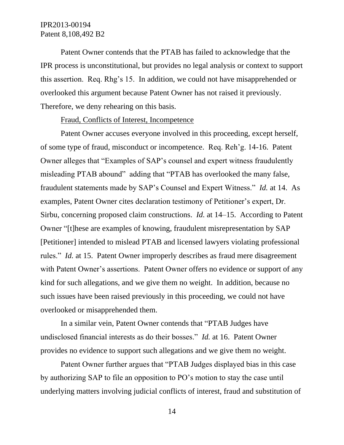Patent Owner contends that the PTAB has failed to acknowledge that the IPR process is unconstitutional, but provides no legal analysis or context to support this assertion. Req. Rhg's 15. In addition, we could not have misapprehended or overlooked this argument because Patent Owner has not raised it previously. Therefore, we deny rehearing on this basis.

#### Fraud, Conflicts of Interest, Incompetence

Patent Owner accuses everyone involved in this proceeding, except herself, of some type of fraud, misconduct or incompetence. Req. Reh'g. 14-16. Patent Owner alleges that "Examples of SAP's counsel and expert witness fraudulently misleading PTAB abound" adding that "PTAB has overlooked the many false, fraudulent statements made by SAP's Counsel and Expert Witness." *Id.* at 14. As examples, Patent Owner cites declaration testimony of Petitioner's expert, Dr. Sirbu, concerning proposed claim constructions. *Id.* at 14–15. According to Patent Owner "[t]hese are examples of knowing, fraudulent misrepresentation by SAP [Petitioner] intended to mislead PTAB and licensed lawyers violating professional rules." *Id.* at 15. Patent Owner improperly describes as fraud mere disagreement with Patent Owner's assertions. Patent Owner offers no evidence or support of any kind for such allegations, and we give them no weight. In addition, because no such issues have been raised previously in this proceeding, we could not have overlooked or misapprehended them.

In a similar vein, Patent Owner contends that "PTAB Judges have undisclosed financial interests as do their bosses." *Id.* at 16. Patent Owner provides no evidence to support such allegations and we give them no weight.

Patent Owner further argues that "PTAB Judges displayed bias in this case by authorizing SAP to file an opposition to PO's motion to stay the case until underlying matters involving judicial conflicts of interest, fraud and substitution of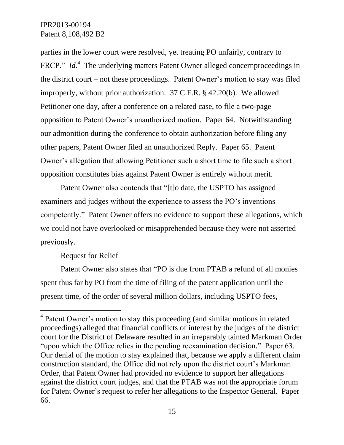parties in the lower court were resolved, yet treating PO unfairly, contrary to FRCP." *Id.*<sup>4</sup> The underlying matters Patent Owner alleged concernproceedings in the district court – not these proceedings. Patent Owner's motion to stay was filed improperly, without prior authorization. 37 C.F.R. § 42.20(b). We allowed Petitioner one day, after a conference on a related case, to file a two-page opposition to Patent Owner's unauthorized motion. Paper 64. Notwithstanding our admonition during the conference to obtain authorization before filing any other papers, Patent Owner filed an unauthorized Reply. Paper 65. Patent Owner's allegation that allowing Petitioner such a short time to file such a short opposition constitutes bias against Patent Owner is entirely without merit.

Patent Owner also contends that "[t]o date, the USPTO has assigned examiners and judges without the experience to assess the PO's inventions competently." Patent Owner offers no evidence to support these allegations, which we could not have overlooked or misapprehended because they were not asserted previously.

### Request for Relief

 $\overline{a}$ 

Patent Owner also states that "PO is due from PTAB a refund of all monies spent thus far by PO from the time of filing of the patent application until the present time, of the order of several million dollars, including USPTO fees,

<sup>&</sup>lt;sup>4</sup> Patent Owner's motion to stay this proceeding (and similar motions in related proceedings) alleged that financial conflicts of interest by the judges of the district court for the District of Delaware resulted in an irreparably tainted Markman Order "upon which the Office relies in the pending reexamination decision." Paper 63. Our denial of the motion to stay explained that, because we apply a different claim construction standard, the Office did not rely upon the district court's Markman Order, that Patent Owner had provided no evidence to support her allegations against the district court judges, and that the PTAB was not the appropriate forum for Patent Owner's request to refer her allegations to the Inspector General. Paper 66.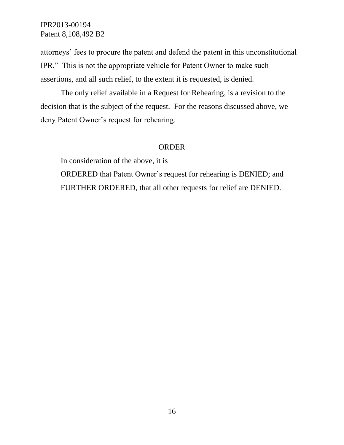attorneys' fees to procure the patent and defend the patent in this unconstitutional IPR." This is not the appropriate vehicle for Patent Owner to make such assertions, and all such relief, to the extent it is requested, is denied.

The only relief available in a Request for Rehearing, is a revision to the decision that is the subject of the request. For the reasons discussed above, we deny Patent Owner's request for rehearing.

## ORDER

In consideration of the above, it is ORDERED that Patent Owner's request for rehearing is DENIED; and FURTHER ORDERED, that all other requests for relief are DENIED.